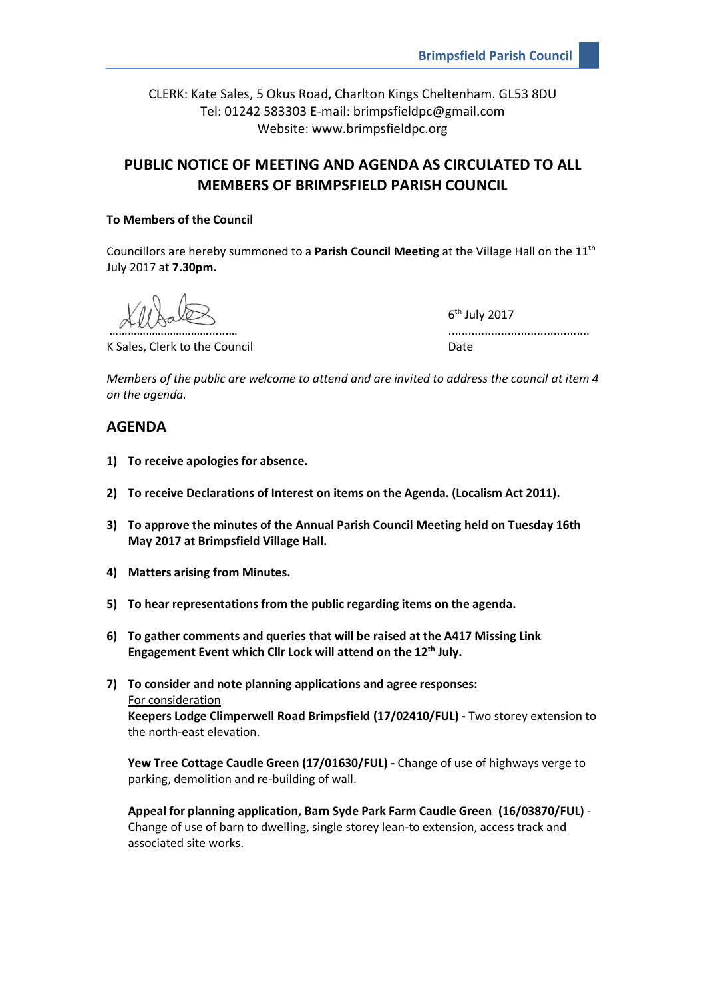CLERK: Kate Sales, 5 Okus Road, Charlton Kings Cheltenham. GL53 8DU Tel: 01242 583303 E-mail: brimpsfieldpc@gmail.com Website: www.brimpsfieldpc.org

# **PUBLIC NOTICE OF MEETING AND AGENDA AS CIRCULATED TO ALL MEMBERS OF BRIMPSFIELD PARISH COUNCIL**

## **To Members of the Council**

Councillors are hereby summoned to a **Parish Council Meeting** at the Village Hall on the 11th July 2017 at **7.30pm.**

K Sales, Clerk to the Council and Date Date

6<sup>th</sup> July 2017

…………………………………………………

*Members of the public are welcome to attend and are invited to address the council at item 4 on the agenda.*

# **AGENDA**

- **1) To receive apologies for absence.**
- **2) To receive Declarations of Interest on items on the Agenda. (Localism Act 2011).**
- **3) To approve the minutes of the Annual Parish Council Meeting held on Tuesday 16th May 2017 at Brimpsfield Village Hall.**
- **4) Matters arising from Minutes.**
- **5) To hear representations from the public regarding items on the agenda.**
- **6) To gather comments and queries that will be raised at the A417 Missing Link Engagement Event which Cllr Lock will attend on the 12th July.**
- **7) To consider and note planning applications and agree responses:** For consideration **Keepers Lodge Climperwell Road Brimpsfield (17/02410/FUL) -** Two storey extension to the north-east elevation.

**Yew Tree Cottage Caudle Green (17/01630/FUL) -** Change of use of highways verge to parking, demolition and re-building of wall.

**Appeal for planning application, Barn Syde Park Farm Caudle Green (16/03870/FUL)** - Change of use of barn to dwelling, single storey lean-to extension, access track and associated site works.